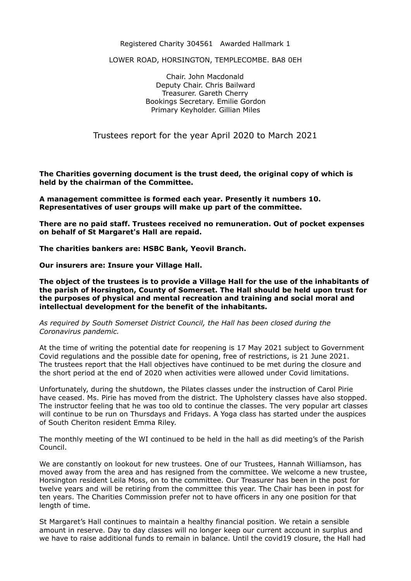## Registered Charity 304561 Awarded Hallmark 1

LOWER ROAD, HORSINGTON, TEMPLECOMBE. BA8 0EH

Chair. John Macdonald Deputy Chair. Chris Bailward Treasurer. Gareth Cherry Bookings Secretary. Emilie Gordon Primary Keyholder. Gillian Miles

Trustees report for the year April 2020 to March 2021

**The Charities governing document is the trust deed, the original copy of which is held by the chairman of the Committee.** 

**A management committee is formed each year. Presently it numbers 10. Representatives of user groups will make up part of the committee.** 

**There are no paid staff. Trustees received no remuneration. Out of pocket expenses on behalf of St Margaret's Hall are repaid.** 

**The charities bankers are: HSBC Bank, Yeovil Branch.** 

**Our insurers are: Insure your Village Hall.** 

**The object of the trustees is to provide a Village Hall for the use of the inhabitants of the parish of Horsington, County of Somerset. The Hall should be held upon trust for the purposes of physical and mental recreation and training and social moral and intellectual development for the benefit of the inhabitants.** 

*As required by South Somerset District Council, the Hall has been closed during the Coronavirus pandemic.*

At the time of writing the potential date for reopening is 17 May 2021 subject to Government Covid regulations and the possible date for opening, free of restrictions, is 21 June 2021. The trustees report that the Hall objectives have continued to be met during the closure and the short period at the end of 2020 when activities were allowed under Covid limitations.

Unfortunately, during the shutdown, the Pilates classes under the instruction of Carol Pirie have ceased. Ms. Pirie has moved from the district. The Upholstery classes have also stopped. The instructor feeling that he was too old to continue the classes. The very popular art classes will continue to be run on Thursdays and Fridays. A Yoga class has started under the auspices of South Cheriton resident Emma Riley.

The monthly meeting of the WI continued to be held in the hall as did meeting's of the Parish Council.

We are constantly on lookout for new trustees. One of our Trustees, Hannah Williamson, has moved away from the area and has resigned from the committee. We welcome a new trustee, Horsington resident Leila Moss, on to the committee. Our Treasurer has been in the post for twelve years and will be retiring from the committee this year. The Chair has been in post for ten years. The Charities Commission prefer not to have officers in any one position for that length of time.

St Margaret's Hall continues to maintain a healthy financial position. We retain a sensible amount in reserve. Day to day classes will no longer keep our current account in surplus and we have to raise additional funds to remain in balance. Until the covid19 closure, the Hall had